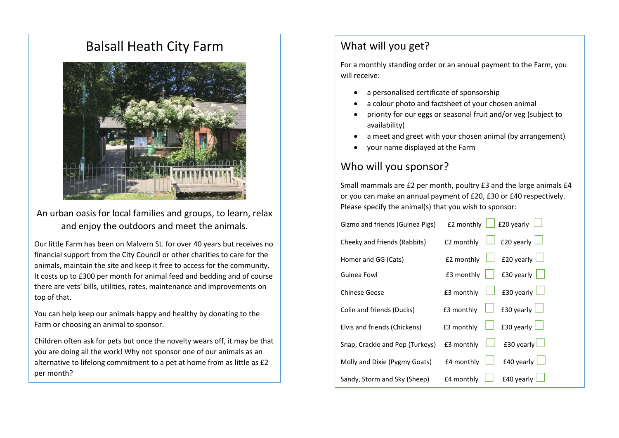## Balsall Heath City Farm



An urban oasis for local families and groups, to learn, relax and enjoy the outdoors and meet the animals.

Our little Farm has been on Malvern St. for over 40 years but receives no financial support from the City Council or other charities to care for the animals, maintain the site and keep it free to access for the community. It costs up to £300 per month for animal feed and bedding and of course there are vets' bills, utilities, rates, maintenance and improvements on top of that.

You can help keep our animals happy and healthy by donating to the Farm or choosing an animal to sponsor.

Children often ask for pets but once the novelty wears off, it may be that you are doing all the work! Why not sponsor one of our animals as an alternative to lifelong commitment to a pet at home from as little as £2 per month?

#### What will you get?

For a monthly standing order or an annual payment to the Farm, you will receive:

- a personalised certificate of sponsorship
- a colour photo and factsheet of your chosen animal
- priority for our eggs or seasonal fruit and/or veg (subject to availability)
- a meet and greet with your chosen animal (by arrangement)
- your name displayed at the Farm

### Who will you sponsor?

Small mammals are £2 per month, poultry £3 and the large animals £4 or you can make an annual payment of £20, £30 or £40 respectively. Please specify the animal(s) that you wish to sponsor:

| Gizmo and friends (Guinea Pigs) | £20 yearly<br>£2 monthly        |
|---------------------------------|---------------------------------|
| Cheeky and friends (Rabbits)    | £20 yearly<br>£2 monthly        |
| Homer and GG (Cats)             | £20 yearly<br>£2 monthly        |
| Guinea Fowl                     | £3 monthly<br>£30 yearly $\Box$ |
| <b>Chinese Geese</b>            | £30 yearly<br>£3 monthly        |
| Colin and friends (Ducks)       | £30 yearly<br>£3 monthly        |
| Elvis and friends (Chickens)    | £30 yearly $\Box$<br>£3 monthly |
| Snap, Crackle and Pop (Turkeys) | £30 yearly<br>£3 monthly        |
| Molly and Dixie (Pygmy Goats)   | £40 yearly<br>£4 monthly        |
| Sandy, Storm and Sky (Sheep)    | £40 yearly<br>£4 monthly        |